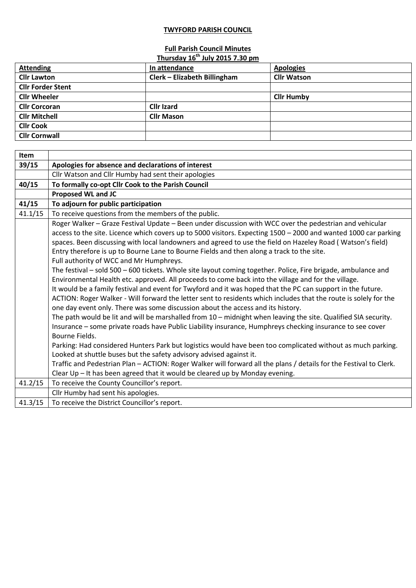## **TWYFORD PARISH COUNCIL**

## **Full Parish Council Minutes**

| Thursday 16 <sup>th</sup> July 2015 7.30 pm |                              |                    |  |  |
|---------------------------------------------|------------------------------|--------------------|--|--|
| <b>Attending</b>                            | In attendance                | <b>Apologies</b>   |  |  |
| <b>Cllr Lawton</b>                          | Clerk - Elizabeth Billingham | <b>Cllr Watson</b> |  |  |
| <b>Cllr Forder Stent</b>                    |                              |                    |  |  |
| <b>Cllr Wheeler</b>                         |                              | <b>Cllr Humby</b>  |  |  |
| <b>Cllr Corcoran</b>                        | <b>Cllr Izard</b>            |                    |  |  |
| <b>Cllr Mitchell</b>                        | <b>Cllr Mason</b>            |                    |  |  |
| <b>Cllr Cook</b>                            |                              |                    |  |  |
| <b>Cllr Cornwall</b>                        |                              |                    |  |  |

| Item    |                                                                                                                    |
|---------|--------------------------------------------------------------------------------------------------------------------|
| 39/15   | Apologies for absence and declarations of interest                                                                 |
|         | Cllr Watson and Cllr Humby had sent their apologies                                                                |
| 40/15   | To formally co-opt Cllr Cook to the Parish Council                                                                 |
|         | <b>Proposed WL and JC</b>                                                                                          |
| 41/15   | To adjourn for public participation                                                                                |
| 41.1/15 | To receive questions from the members of the public.                                                               |
|         | Roger Walker - Graze Festival Update - Been under discussion with WCC over the pedestrian and vehicular            |
|         | access to the site. Licence which covers up to 5000 visitors. Expecting 1500 - 2000 and wanted 1000 car parking    |
|         | spaces. Been discussing with local landowners and agreed to use the field on Hazeley Road (Watson's field)         |
|         | Entry therefore is up to Bourne Lane to Bourne Fields and then along a track to the site.                          |
|         | Full authority of WCC and Mr Humphreys.                                                                            |
|         | The festival - sold 500 - 600 tickets. Whole site layout coming together. Police, Fire brigade, ambulance and      |
|         | Environmental Health etc. approved. All proceeds to come back into the village and for the village.                |
|         | It would be a family festival and event for Twyford and it was hoped that the PC can support in the future.        |
|         | ACTION: Roger Walker - Will forward the letter sent to residents which includes that the route is solely for the   |
|         | one day event only. There was some discussion about the access and its history.                                    |
|         | The path would be lit and will be marshalled from 10 - midnight when leaving the site. Qualified SIA security.     |
|         | Insurance - some private roads have Public Liability insurance, Humphreys checking insurance to see cover          |
|         | Bourne Fields.                                                                                                     |
|         | Parking: Had considered Hunters Park but logistics would have been too complicated without as much parking.        |
|         | Looked at shuttle buses but the safety advisory advised against it.                                                |
|         | Traffic and Pedestrian Plan - ACTION: Roger Walker will forward all the plans / details for the Festival to Clerk. |
|         | Clear Up - It has been agreed that it would be cleared up by Monday evening.                                       |
| 41.2/15 | To receive the County Councillor's report.                                                                         |
|         | Cllr Humby had sent his apologies.                                                                                 |
| 41.3/15 | To receive the District Councillor's report.                                                                       |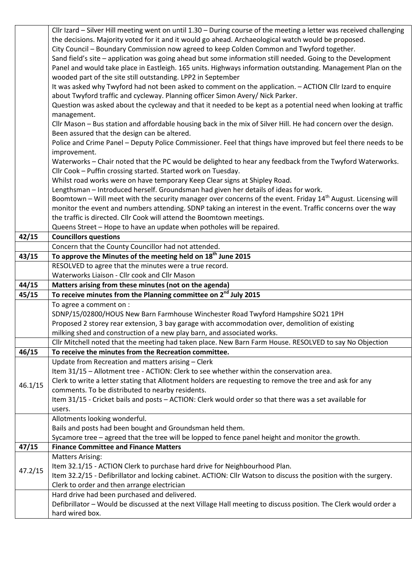|         | Cllr Izard – Silver Hill meeting went on until 1.30 – During course of the meeting a letter was received challenging                                                       |
|---------|----------------------------------------------------------------------------------------------------------------------------------------------------------------------------|
|         | the decisions. Majority voted for it and it would go ahead. Archaeological watch would be proposed.                                                                        |
|         | City Council - Boundary Commission now agreed to keep Colden Common and Twyford together.                                                                                  |
|         | Sand field's site - application was going ahead but some information still needed. Going to the Development                                                                |
|         | Panel and would take place in Eastleigh. 165 units. Highways information outstanding. Management Plan on the                                                               |
|         | wooded part of the site still outstanding. LPP2 in September                                                                                                               |
|         | It was asked why Twyford had not been asked to comment on the application. - ACTION Cllr Izard to enquire                                                                  |
|         | about Twyford traffic and cycleway. Planning officer Simon Avery/ Nick Parker.                                                                                             |
|         | Question was asked about the cycleway and that it needed to be kept as a potential need when looking at traffic                                                            |
|         | management.                                                                                                                                                                |
|         | Cllr Mason - Bus station and affordable housing back in the mix of Silver Hill. He had concern over the design.                                                            |
|         | Been assured that the design can be altered.                                                                                                                               |
|         | Police and Crime Panel - Deputy Police Commissioner. Feel that things have improved but feel there needs to be                                                             |
|         | improvement.                                                                                                                                                               |
|         | Waterworks - Chair noted that the PC would be delighted to hear any feedback from the Twyford Waterworks.<br>Cllr Cook - Puffin crossing started. Started work on Tuesday. |
|         | Whilst road works were on have temporary Keep Clear signs at Shipley Road.                                                                                                 |
|         | Lengthsman - Introduced herself. Groundsman had given her details of ideas for work.                                                                                       |
|         | Boomtown - Will meet with the security manager over concerns of the event. Friday 14 <sup>th</sup> August. Licensing will                                                  |
|         | monitor the event and numbers attending. SDNP taking an interest in the event. Traffic concerns over the way                                                               |
|         | the traffic is directed. Cllr Cook will attend the Boomtown meetings.                                                                                                      |
|         | Queens Street - Hope to have an update when potholes will be repaired.                                                                                                     |
| 42/15   | <b>Councillors questions</b>                                                                                                                                               |
|         | Concern that the County Councillor had not attended.                                                                                                                       |
| 43/15   | To approve the Minutes of the meeting held on 18 <sup>th</sup> June 2015                                                                                                   |
|         | RESOLVED to agree that the minutes were a true record.                                                                                                                     |
|         |                                                                                                                                                                            |
|         | Waterworks Liaison - Cllr cook and Cllr Mason                                                                                                                              |
| 44/15   | Matters arising from these minutes (not on the agenda)                                                                                                                     |
| 45/15   | To receive minutes from the Planning committee on 2 <sup>nd</sup> July 2015                                                                                                |
|         | To agree a comment on :                                                                                                                                                    |
|         | SDNP/15/02800/HOUS New Barn Farmhouse Winchester Road Twyford Hampshire SO21 1PH                                                                                           |
|         | Proposed 2 storey rear extension, 3 bay garage with accommodation over, demolition of existing                                                                             |
|         | milking shed and construction of a new play barn, and associated works.                                                                                                    |
|         | Cllr Mitchell noted that the meeting had taken place. New Barn Farm House. RESOLVED to say No Objection                                                                    |
| 46/15   | To receive the minutes from the Recreation committee.                                                                                                                      |
|         | Update from Recreation and matters arising - Clerk                                                                                                                         |
|         | Item 31/15 - Allotment tree - ACTION: Clerk to see whether within the conservation area.                                                                                   |
| 46.1/15 | Clerk to write a letter stating that Allotment holders are requesting to remove the tree and ask for any                                                                   |
|         | comments. To be distributed to nearby residents.                                                                                                                           |
|         | Item 31/15 - Cricket bails and posts - ACTION: Clerk would order so that there was a set available for                                                                     |
|         | users.                                                                                                                                                                     |
|         | Allotments looking wonderful.                                                                                                                                              |
|         | Bails and posts had been bought and Groundsman held them.                                                                                                                  |
| 47/15   | Sycamore tree - agreed that the tree will be lopped to fence panel height and monitor the growth.<br><b>Finance Committee and Finance Matters</b>                          |
|         | <b>Matters Arising:</b>                                                                                                                                                    |
|         | Item 32.1/15 - ACTION Clerk to purchase hard drive for Neighbourhood Plan.                                                                                                 |
| 47.2/15 | Item 32.2/15 - Defibrillator and locking cabinet. ACTION: Cllr Watson to discuss the position with the surgery.                                                            |
|         | Clerk to order and then arrange electrician                                                                                                                                |
|         | Hard drive had been purchased and delivered.                                                                                                                               |
|         | Defibrillator - Would be discussed at the next Village Hall meeting to discuss position. The Clerk would order a<br>hard wired box.                                        |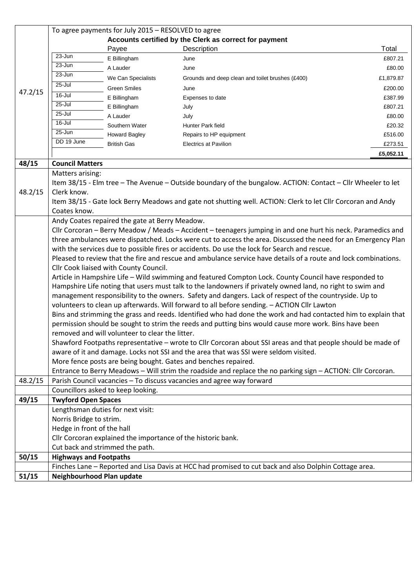|         | To agree payments for July 2015 - RESOLVED to agree                                                                                                                                                                                                                        |                                                              |                                                                                                               |           |  |  |
|---------|----------------------------------------------------------------------------------------------------------------------------------------------------------------------------------------------------------------------------------------------------------------------------|--------------------------------------------------------------|---------------------------------------------------------------------------------------------------------------|-----------|--|--|
|         | Accounts certified by the Clerk as correct for payment                                                                                                                                                                                                                     |                                                              |                                                                                                               |           |  |  |
|         |                                                                                                                                                                                                                                                                            | Payee                                                        | Description                                                                                                   | Total     |  |  |
|         | $23 - Jun$                                                                                                                                                                                                                                                                 | E Billingham                                                 | June                                                                                                          | £807.21   |  |  |
|         | $23 - Jun$                                                                                                                                                                                                                                                                 | A Lauder                                                     | June                                                                                                          | £80.00    |  |  |
|         | 23-Jun                                                                                                                                                                                                                                                                     | We Can Specialists                                           | Grounds and deep clean and toilet brushes (£400)                                                              | £1,879.87 |  |  |
| 47.2/15 | 25-Jul                                                                                                                                                                                                                                                                     | <b>Green Smiles</b>                                          | June                                                                                                          | £200.00   |  |  |
|         | $16 -$ Jul                                                                                                                                                                                                                                                                 | E Billingham                                                 | Expenses to date                                                                                              | £387.99   |  |  |
|         | $25 -$ Jul                                                                                                                                                                                                                                                                 | E Billingham                                                 | July                                                                                                          | £807.21   |  |  |
|         | $25 -$ Jul                                                                                                                                                                                                                                                                 | A Lauder                                                     | July                                                                                                          | £80.00    |  |  |
|         | 16-Jul                                                                                                                                                                                                                                                                     | Southern Water                                               | Hunter Park field                                                                                             | £20.32    |  |  |
|         | $25 - Jun$                                                                                                                                                                                                                                                                 | <b>Howard Bagley</b>                                         | Repairs to HP equipment                                                                                       | £516.00   |  |  |
|         | DD 19 June                                                                                                                                                                                                                                                                 | <b>British Gas</b>                                           | <b>Electrics at Pavilion</b>                                                                                  | £273.51   |  |  |
|         |                                                                                                                                                                                                                                                                            |                                                              |                                                                                                               | £5,052.11 |  |  |
| 48/15   | <b>Council Matters</b>                                                                                                                                                                                                                                                     |                                                              |                                                                                                               |           |  |  |
|         | Matters arising:                                                                                                                                                                                                                                                           |                                                              |                                                                                                               |           |  |  |
|         |                                                                                                                                                                                                                                                                            |                                                              | Item 38/15 - Elm tree - The Avenue - Outside boundary of the bungalow. ACTION: Contact - Cllr Wheeler to let  |           |  |  |
| 48.2/15 | Clerk know.                                                                                                                                                                                                                                                                |                                                              |                                                                                                               |           |  |  |
|         |                                                                                                                                                                                                                                                                            |                                                              | Item 38/15 - Gate lock Berry Meadows and gate not shutting well. ACTION: Clerk to let Cllr Corcoran and Andy  |           |  |  |
|         | Coates know.                                                                                                                                                                                                                                                               |                                                              |                                                                                                               |           |  |  |
|         |                                                                                                                                                                                                                                                                            | Andy Coates repaired the gate at Berry Meadow.               |                                                                                                               |           |  |  |
|         |                                                                                                                                                                                                                                                                            |                                                              | Cllr Corcoran - Berry Meadow / Meads - Accident - teenagers jumping in and one hurt his neck. Paramedics and  |           |  |  |
|         |                                                                                                                                                                                                                                                                            |                                                              | three ambulances were dispatched. Locks were cut to access the area. Discussed the need for an Emergency Plan |           |  |  |
|         | with the services due to possible fires or accidents. Do use the lock for Search and rescue.                                                                                                                                                                               |                                                              |                                                                                                               |           |  |  |
|         | Pleased to review that the fire and rescue and ambulance service have details of a route and lock combinations.                                                                                                                                                            |                                                              |                                                                                                               |           |  |  |
|         | Cllr Cook liaised with County Council.                                                                                                                                                                                                                                     |                                                              |                                                                                                               |           |  |  |
|         | Article in Hampshire Life - Wild swimming and featured Compton Lock. County Council have responded to                                                                                                                                                                      |                                                              |                                                                                                               |           |  |  |
|         | Hampshire Life noting that users must talk to the landowners if privately owned land, no right to swim and                                                                                                                                                                 |                                                              |                                                                                                               |           |  |  |
|         |                                                                                                                                                                                                                                                                            |                                                              | management responsibility to the owners. Safety and dangers. Lack of respect of the countryside. Up to        |           |  |  |
|         | volunteers to clean up afterwards. Will forward to all before sending. - ACTION Cllr Lawton                                                                                                                                                                                |                                                              |                                                                                                               |           |  |  |
|         | Bins and strimming the grass and reeds. Identified who had done the work and had contacted him to explain that<br>permission should be sought to strim the reeds and putting bins would cause more work. Bins have been<br>removed and will volunteer to clear the litter. |                                                              |                                                                                                               |           |  |  |
|         |                                                                                                                                                                                                                                                                            |                                                              |                                                                                                               |           |  |  |
|         |                                                                                                                                                                                                                                                                            |                                                              |                                                                                                               |           |  |  |
|         | Shawford Footpaths representative - wrote to Cllr Corcoran about SSI areas and that people should be made of                                                                                                                                                               |                                                              |                                                                                                               |           |  |  |
|         |                                                                                                                                                                                                                                                                            |                                                              | aware of it and damage. Locks not SSI and the area that was SSI were seldom visited.                          |           |  |  |
|         |                                                                                                                                                                                                                                                                            |                                                              | More fence posts are being bought. Gates and benches repaired.                                                |           |  |  |
|         |                                                                                                                                                                                                                                                                            |                                                              | Entrance to Berry Meadows - Will strim the roadside and replace the no parking sign - ACTION: Cllr Corcoran.  |           |  |  |
| 48.2/15 |                                                                                                                                                                                                                                                                            |                                                              | Parish Council vacancies - To discuss vacancies and agree way forward                                         |           |  |  |
|         |                                                                                                                                                                                                                                                                            | Councillors asked to keep looking.                           |                                                                                                               |           |  |  |
| 49/15   | <b>Twyford Open Spaces</b>                                                                                                                                                                                                                                                 |                                                              |                                                                                                               |           |  |  |
|         |                                                                                                                                                                                                                                                                            | Lengthsman duties for next visit:                            |                                                                                                               |           |  |  |
|         | Norris Bridge to strim.                                                                                                                                                                                                                                                    |                                                              |                                                                                                               |           |  |  |
|         | Hedge in front of the hall                                                                                                                                                                                                                                                 |                                                              |                                                                                                               |           |  |  |
|         |                                                                                                                                                                                                                                                                            | Cllr Corcoran explained the importance of the historic bank. |                                                                                                               |           |  |  |
|         |                                                                                                                                                                                                                                                                            | Cut back and strimmed the path.                              |                                                                                                               |           |  |  |
| 50/15   | <b>Highways and Footpaths</b>                                                                                                                                                                                                                                              |                                                              |                                                                                                               |           |  |  |
|         |                                                                                                                                                                                                                                                                            |                                                              | Finches Lane - Reported and Lisa Davis at HCC had promised to cut back and also Dolphin Cottage area.         |           |  |  |
| 51/15   | Neighbourhood Plan update                                                                                                                                                                                                                                                  |                                                              |                                                                                                               |           |  |  |